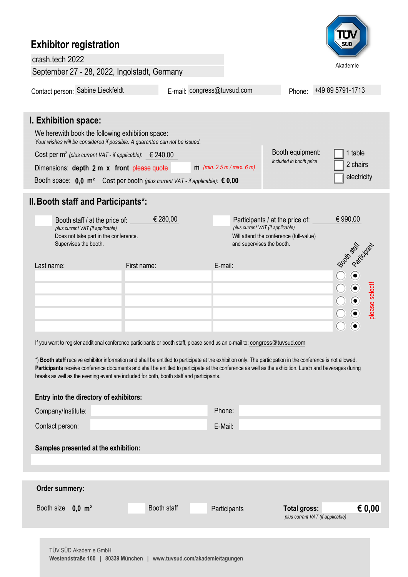## **Exhibitor registration** crash.tech 2022 Akademie September 27 - 28, 2022, Ingolstadt, Germany Contact person: Sabine Lieckfeldt E-mail: congress@tuvsud.com Phone: +49 89 5791-1713 **I. Exhibition space:** We herewith book the following exhibition space: *Your wishes will be considered if possible. A guarantee can not be issued.* Booth equipment: 1 table Cost per m² *(plus current VAT - if applicable)*: € 240,00 *included in booth price* 2 chairs **m** *(min. 2.5 m / max. 6 m)* Dimensions: **depth 2 m x front** please quote electricity Booth space:  **m²** Cost per booth *(plus current VAT - if applicable):* **0,0 € 0,00 II.Booth staff and Participants\*:**  $\epsilon$  280,00 **Participants / at the price of:**  $\epsilon$  990,00 Booth staff / at the price of: *plus current VAT (if applicable) plus current VAT (if applicable)* Does not take part in the conference. Will attend the conference (full-value) Supervises the booth. and supervises the booth. Booth states Last name: E-mail: First name:  $\odot$ please select! please select!  $\odot$  $\odot$  $\bullet$ ⋒ If you want to register additional conference participants or booth staff, please send us an e-mail to: [congress@tuvsud.com](mailto:congress@tuev-sued.de)

**Entry into the directory of exhibitors:**

\*) **Booth staff** receive exhibitor information and shall be entitled to participate at the exhibition only. The participation in the conference is not allowed. Participants receive conference documents and shall be entitled to participate at the conference as well as the exhibition. Lunch and beverages during breaks as well as the evening event are included for both, booth staff and participants.

| ETHLY THE UTBOUGHT OF BXILIDITIONS:                                    |             |              |                                  |  |  |  |
|------------------------------------------------------------------------|-------------|--------------|----------------------------------|--|--|--|
| Company/Institute:                                                     |             | Phone:       |                                  |  |  |  |
| Contact person:                                                        |             | E-Mail:      |                                  |  |  |  |
| Samples presented at the exhibition:                                   |             |              |                                  |  |  |  |
|                                                                        |             |              |                                  |  |  |  |
| Order summery:                                                         |             |              |                                  |  |  |  |
| Booth size 0,0 m <sup>2</sup>                                          | Booth staff | Participants | € 0,00<br><b>Total gross:</b>    |  |  |  |
|                                                                        |             |              | plus currant VAT (if applicable) |  |  |  |
|                                                                        |             |              |                                  |  |  |  |
| TÜV SÜD Akademie GmbH                                                  |             |              |                                  |  |  |  |
| 80339 München<br>www.tuvsud.com/akademie/tagungen<br>Westendstraße 160 |             |              |                                  |  |  |  |